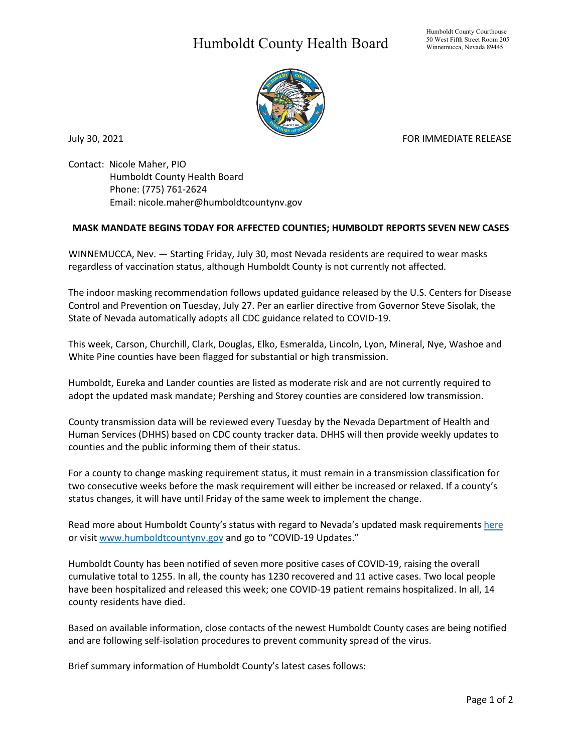## Humboldt County Health Board



July 30, 2021 **FOR IMMEDIATE RELEASE** 

Contact: Nicole Maher, PIO Humboldt County Health Board Phone: (775) 761-2624 Email: nicole.maher@humboldtcountynv.gov

## **MASK MANDATE BEGINS TODAY FOR AFFECTED COUNTIES; HUMBOLDT REPORTS SEVEN NEW CASES**

WINNEMUCCA, Nev. — Starting Friday, July 30, most Nevada residents are required to wear masks regardless of vaccination status, although Humboldt County is not currently not affected.

The indoor masking recommendation follows updated guidance released by the U.S. Centers for Disease Control and Prevention on Tuesday, July 27. Per an earlier directive from Governor Steve Sisolak, the State of Nevada automatically adopts all CDC guidance related to COVID-19.

This week, Carson, Churchill, Clark, Douglas, Elko, Esmeralda, Lincoln, Lyon, Mineral, Nye, Washoe and White Pine counties have been flagged for substantial or high transmission.

Humboldt, Eureka and Lander counties are listed as moderate risk and are not currently required to adopt the updated mask mandate; Pershing and Storey counties are considered low transmission.

County transmission data will be reviewed every Tuesday by the Nevada Department of Health and Human Services (DHHS) based on CDC county tracker data. DHHS will then provide weekly updates to counties and the public informing them of their status.

For a county to change masking requirement status, it must remain in a transmission classification for two consecutive weeks before the mask requirement will either be increased or relaxed. If a county's status changes, it will have until Friday of the same week to implement the change.

Read more about Humboldt County's status with regard to Nevada's updated mask requirements [here](https://www.humboldtcountynv.gov/DocumentCenter/View/5623/Humboldt-County-Moderate-Risk-for-Now-Officials-Urge-Residents-to-Use-Caution) or visi[t www.humboldtcountynv.gov](http://www.humboldtcountynv.gov/) and go to "COVID-19 Updates."

Humboldt County has been notified of seven more positive cases of COVID-19, raising the overall cumulative total to 1255. In all, the county has 1230 recovered and 11 active cases. Two local people have been hospitalized and released this week; one COVID-19 patient remains hospitalized. In all, 14 county residents have died.

Based on available information, close contacts of the newest Humboldt County cases are being notified and are following self-isolation procedures to prevent community spread of the virus.

Brief summary information of Humboldt County's latest cases follows: